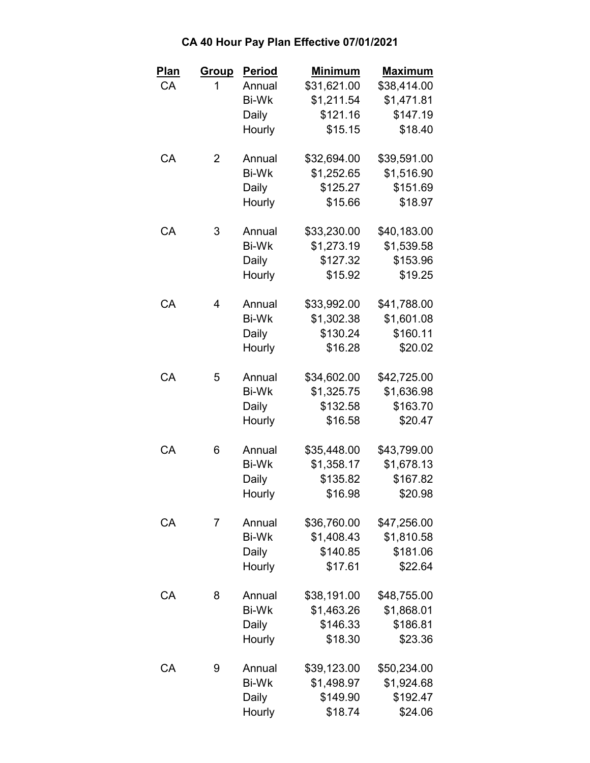| <u>Plan</u> | <u>Group</u> | Period       | <b>Minimum</b> | <u>Maximum</u> |
|-------------|--------------|--------------|----------------|----------------|
| CA          | 1            | Annual       | \$31,621.00    | \$38,414.00    |
|             |              | <b>Bi-Wk</b> | \$1,211.54     | \$1,471.81     |
|             |              | Daily        | \$121.16       | \$147.19       |
|             |              | Hourly       | \$15.15        | \$18.40        |
| CA          | 2            | Annual       | \$32,694.00    | \$39,591.00    |
|             |              | <b>Bi-Wk</b> | \$1,252.65     | \$1,516.90     |
|             |              | Daily        | \$125.27       | \$151.69       |
|             |              | Hourly       | \$15.66        | \$18.97        |
| CA          | 3            | Annual       | \$33,230.00    | \$40,183.00    |
|             |              | <b>Bi-Wk</b> | \$1,273.19     | \$1,539.58     |
|             |              | Daily        | \$127.32       | \$153.96       |
|             |              | Hourly       | \$15.92        | \$19.25        |
| CA          | 4            | Annual       | \$33,992.00    | \$41,788.00    |
|             |              | <b>Bi-Wk</b> | \$1,302.38     | \$1,601.08     |
|             |              | Daily        | \$130.24       | \$160.11       |
|             |              | Hourly       | \$16.28        | \$20.02        |
| CA          | 5            | Annual       | \$34,602.00    | \$42,725.00    |
|             |              | <b>Bi-Wk</b> | \$1,325.75     | \$1,636.98     |
|             |              | Daily        | \$132.58       | \$163.70       |
|             |              | Hourly       | \$16.58        | \$20.47        |
| CA          | 6            | Annual       | \$35,448.00    | \$43,799.00    |
|             |              | <b>Bi-Wk</b> | \$1,358.17     | \$1,678.13     |
|             |              | Daily        | \$135.82       | \$167.82       |
|             |              | Hourly       | \$16.98        | \$20.98        |
| CA          | 7            | Annual       | \$36,760.00    | \$47,256.00    |
|             |              | <b>Bi-Wk</b> | \$1,408.43     | \$1,810.58     |
|             |              | Daily        | \$140.85       | \$181.06       |
|             |              | Hourly       | \$17.61        | \$22.64        |
| СA          | 8            | Annual       | \$38,191.00    | \$48,755.00    |
|             |              | <b>Bi-Wk</b> | \$1,463.26     | \$1,868.01     |
|             |              | Daily        | \$146.33       | \$186.81       |
|             |              | Hourly       | \$18.30        | \$23.36        |
| CA          | 9            | Annual       | \$39,123.00    | \$50,234.00    |
|             |              | <b>Bi-Wk</b> | \$1,498.97     | \$1,924.68     |
|             |              | Daily        | \$149.90       | \$192.47       |
|             |              | Hourly       | \$18.74        | \$24.06        |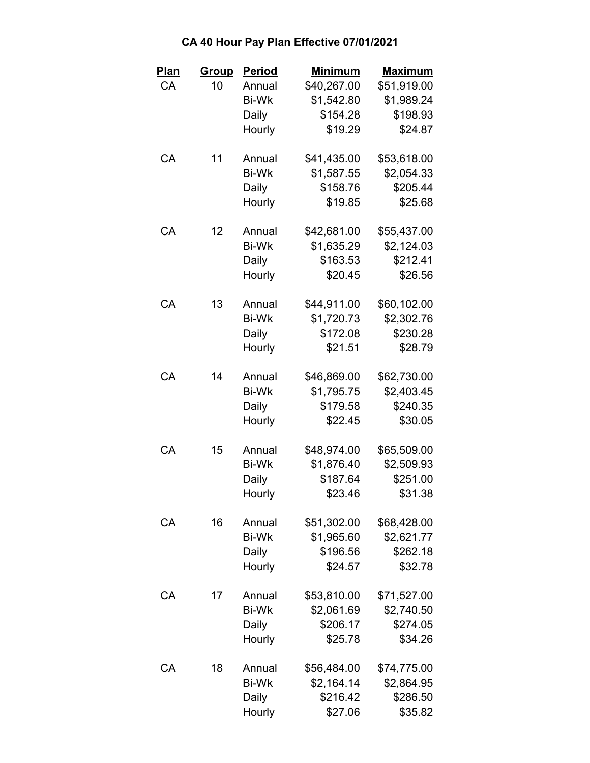| <b>Plan</b> | <u>Group</u> | <b>Period</b> | <b>Minimum</b> | <u>Maximum</u> |
|-------------|--------------|---------------|----------------|----------------|
| CA          | 10           | Annual        | \$40,267.00    | \$51,919.00    |
|             |              | <b>Bi-Wk</b>  | \$1,542.80     | \$1,989.24     |
|             |              | Daily         | \$154.28       | \$198.93       |
|             |              | Hourly        | \$19.29        | \$24.87        |
| CA          | 11           | Annual        | \$41,435.00    | \$53,618.00    |
|             |              | <b>Bi-Wk</b>  | \$1,587.55     | \$2,054.33     |
|             |              | Daily         | \$158.76       | \$205.44       |
|             |              | Hourly        | \$19.85        | \$25.68        |
| CA          | 12           | Annual        | \$42,681.00    | \$55,437.00    |
|             |              | <b>Bi-Wk</b>  | \$1,635.29     | \$2,124.03     |
|             |              | Daily         | \$163.53       | \$212.41       |
|             |              | Hourly        | \$20.45        | \$26.56        |
| CA          | 13           | Annual        | \$44,911.00    | \$60,102.00    |
|             |              | <b>Bi-Wk</b>  | \$1,720.73     | \$2,302.76     |
|             |              | Daily         | \$172.08       | \$230.28       |
|             |              | Hourly        | \$21.51        | \$28.79        |
| CA          | 14           | Annual        | \$46,869.00    | \$62,730.00    |
|             |              | <b>Bi-Wk</b>  | \$1,795.75     | \$2,403.45     |
|             |              | Daily         | \$179.58       | \$240.35       |
|             |              | Hourly        | \$22.45        | \$30.05        |
| СA          | 15           | Annual        | \$48,974.00    | \$65,509.00    |
|             |              | <b>Bi-Wk</b>  | \$1,876.40     | \$2,509.93     |
|             |              | Daily         | \$187.64       | \$251.00       |
|             |              | Hourly        | \$23.46        | \$31.38        |
| CA          | 16           | Annual        | \$51,302.00    | \$68,428.00    |
|             |              | <b>Bi-Wk</b>  | \$1,965.60     | \$2,621.77     |
|             |              | Daily         | \$196.56       | \$262.18       |
|             |              | Hourly        | \$24.57        | \$32.78        |
| СA          | 17           | Annual        | \$53,810.00    | \$71,527.00    |
|             |              | <b>Bi-Wk</b>  | \$2,061.69     | \$2,740.50     |
|             |              | Daily         | \$206.17       | \$274.05       |
|             |              | Hourly        | \$25.78        | \$34.26        |
| CA          | 18           | Annual        | \$56,484.00    | \$74,775.00    |
|             |              | <b>Bi-Wk</b>  | \$2,164.14     | \$2,864.95     |
|             |              | Daily         | \$216.42       | \$286.50       |
|             |              | Hourly        | \$27.06        | \$35.82        |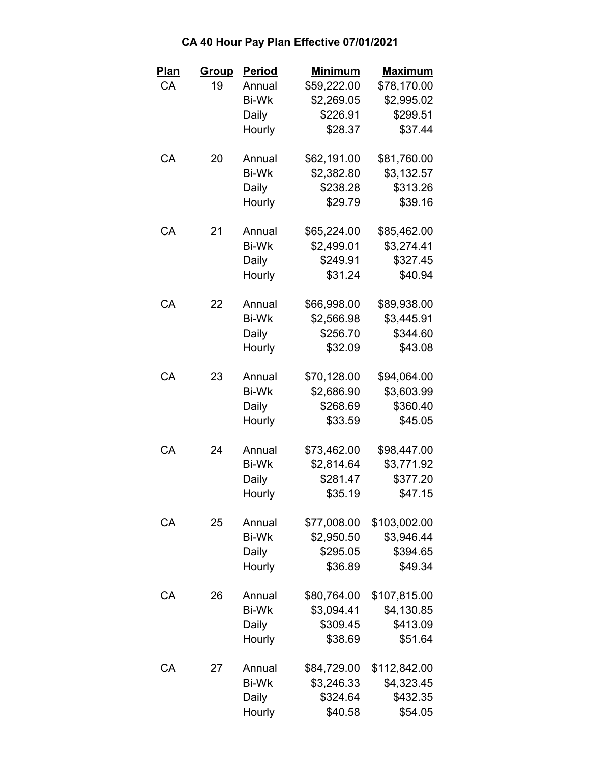| Plan | Group | <b>Period</b> | <b>Minimum</b> | <b>Maximum</b> |
|------|-------|---------------|----------------|----------------|
| CA   | 19    | Annual        | \$59,222.00    | \$78,170.00    |
|      |       | <b>Bi-Wk</b>  | \$2,269.05     | \$2,995.02     |
|      |       | Daily         | \$226.91       | \$299.51       |
|      |       | Hourly        | \$28.37        | \$37.44        |
| CA   | 20    | Annual        | \$62,191.00    | \$81,760.00    |
|      |       | <b>Bi-Wk</b>  | \$2,382.80     | \$3,132.57     |
|      |       | Daily         | \$238.28       | \$313.26       |
|      |       | Hourly        | \$29.79        | \$39.16        |
| СA   | 21    | Annual        | \$65,224.00    | \$85,462.00    |
|      |       | <b>Bi-Wk</b>  | \$2,499.01     | \$3,274.41     |
|      |       | Daily         | \$249.91       | \$327.45       |
|      |       | Hourly        | \$31.24        | \$40.94        |
| CA   | 22    | Annual        | \$66,998.00    | \$89,938.00    |
|      |       | <b>Bi-Wk</b>  | \$2,566.98     | \$3,445.91     |
|      |       | Daily         | \$256.70       | \$344.60       |
|      |       | Hourly        | \$32.09        | \$43.08        |
| CA   | 23    | Annual        | \$70,128.00    | \$94,064.00    |
|      |       | <b>Bi-Wk</b>  | \$2,686.90     | \$3,603.99     |
|      |       | Daily         | \$268.69       | \$360.40       |
|      |       | Hourly        | \$33.59        | \$45.05        |
| CA   | 24    | Annual        | \$73,462.00    | \$98,447.00    |
|      |       | <b>Bi-Wk</b>  | \$2,814.64     | \$3,771.92     |
|      |       | Daily         | \$281.47       | \$377.20       |
|      |       | Hourly        | \$35.19        | \$47.15        |
| CA   | 25    | Annual        | \$77,008.00    | \$103,002.00   |
|      |       | <b>Bi-Wk</b>  | \$2,950.50     | \$3,946.44     |
|      |       | Daily         | \$295.05       | \$394.65       |
|      |       | Hourly        | \$36.89        | \$49.34        |
| СA   | 26    | Annual        | \$80,764.00    | \$107,815.00   |
|      |       | <b>Bi-Wk</b>  | \$3,094.41     | \$4,130.85     |
|      |       | Daily         | \$309.45       | \$413.09       |
|      |       | Hourly        | \$38.69        | \$51.64        |
| CA   | 27    | Annual        | \$84,729.00    | \$112,842.00   |
|      |       | <b>Bi-Wk</b>  | \$3,246.33     | \$4,323.45     |
|      |       | Daily         | \$324.64       | \$432.35       |
|      |       | Hourly        | \$40.58        | \$54.05        |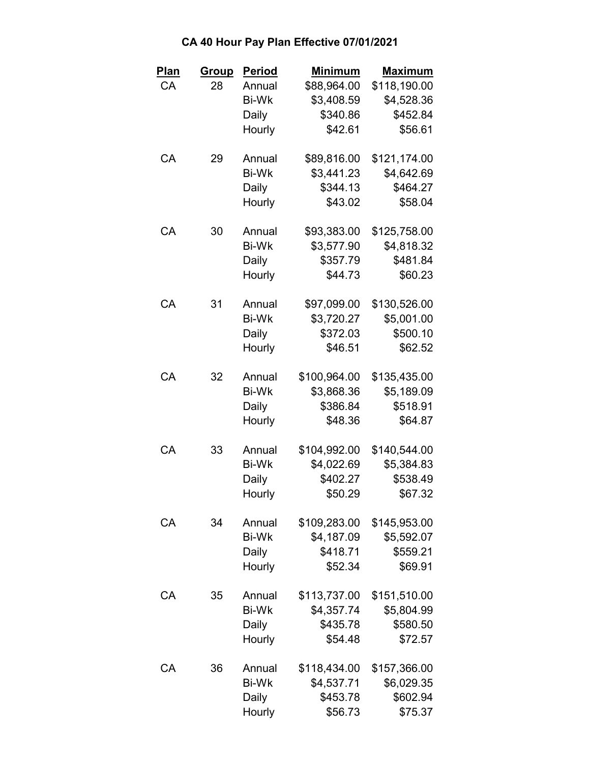| Plan | <u>Group</u> | <b>Period</b> | <b>Minimum</b> | <b>Maximum</b> |
|------|--------------|---------------|----------------|----------------|
| CA   | 28           | Annual        | \$88,964.00    | \$118,190.00   |
|      |              | <b>Bi-Wk</b>  | \$3,408.59     | \$4,528.36     |
|      |              | Daily         | \$340.86       | \$452.84       |
|      |              | Hourly        | \$42.61        | \$56.61        |
| CA   | 29           | Annual        | \$89,816.00    | \$121,174.00   |
|      |              | <b>Bi-Wk</b>  | \$3,441.23     | \$4,642.69     |
|      |              | Daily         | \$344.13       | \$464.27       |
|      |              | Hourly        | \$43.02        | \$58.04        |
| CA   | 30           | Annual        | \$93,383.00    | \$125,758.00   |
|      |              | <b>Bi-Wk</b>  | \$3,577.90     | \$4,818.32     |
|      |              | Daily         | \$357.79       | \$481.84       |
|      |              | Hourly        | \$44.73        | \$60.23        |
| CA   | 31           | Annual        | \$97,099.00    | \$130,526.00   |
|      |              | <b>Bi-Wk</b>  | \$3,720.27     | \$5,001.00     |
|      |              | Daily         | \$372.03       | \$500.10       |
|      |              | Hourly        | \$46.51        | \$62.52        |
| CA   | 32           | Annual        | \$100,964.00   | \$135,435.00   |
|      |              | <b>Bi-Wk</b>  | \$3,868.36     | \$5,189.09     |
|      |              | Daily         | \$386.84       | \$518.91       |
|      |              | Hourly        | \$48.36        | \$64.87        |
| СA   | 33           | Annual        | \$104,992.00   | \$140,544.00   |
|      |              | <b>Bi-Wk</b>  | \$4,022.69     | \$5,384.83     |
|      |              | Daily         | \$402.27       | \$538.49       |
|      |              | Hourly        | \$50.29        | \$67.32        |
| CA   | 34           | Annual        | \$109,283.00   | \$145,953.00   |
|      |              | <b>Bi-Wk</b>  | \$4,187.09     | \$5,592.07     |
|      |              | Daily         | \$418.71       | \$559.21       |
|      |              | Hourly        | \$52.34        | \$69.91        |
| СA   | 35           | Annual        | \$113,737.00   | \$151,510.00   |
|      |              | <b>Bi-Wk</b>  | \$4,357.74     | \$5,804.99     |
|      |              | Daily         | \$435.78       | \$580.50       |
|      |              | Hourly        | \$54.48        | \$72.57        |
| CA   | 36           | Annual        | \$118,434.00   | \$157,366.00   |
|      |              | <b>Bi-Wk</b>  | \$4,537.71     | \$6,029.35     |
|      |              | Daily         | \$453.78       | \$602.94       |
|      |              | Hourly        | \$56.73        | \$75.37        |